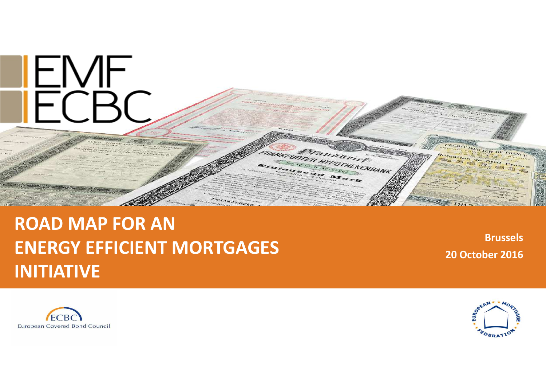

## **ROAD MAP FOR AN ENERGY EFFICIENT MORTGAGES INITIATIVE**

**Brussels20 October 2016**



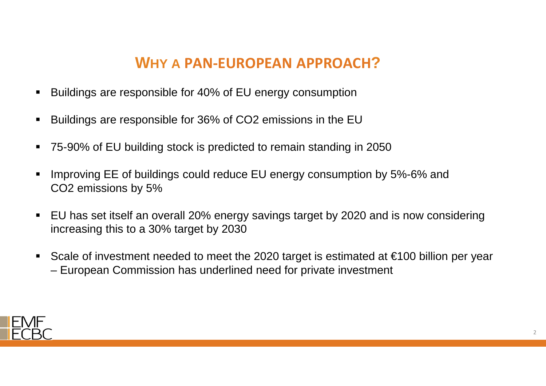# **WHY <sup>A</sup> PAN-EUROPEAN APPROACH?**

- Buildings are responsible for 40% of EU energy consumption
- Buildings are responsible for 36% of CO2 emissions in the EU
- 75-90% of EU building stock is predicted to remain standing in 2050
- Improving EE of buildings could reduce EU energy consumption by 5%-6% and CO2 emissions by 5%
- $\blacksquare$  EU has set itself an overall 20% energy savings target by 2020 and is now considering increasing this to a 30% target by 2030
- Scale of investment needed to meet the 2020 target is estimated at €100 billion per year – European Commission has underlined need for private investment

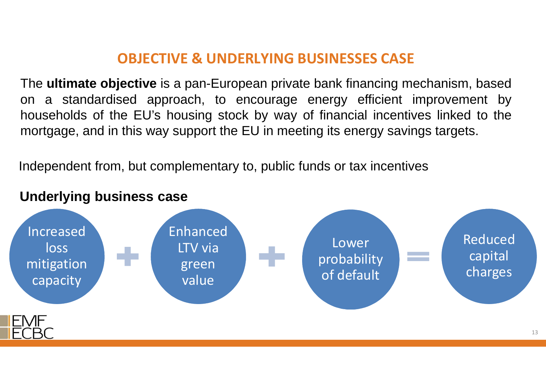## **OBJECTIVE & UNDERLYING BUSINESSES CASE**

The **ultimate objective** is <sup>a</sup> pan-European private bank financing mechanism, based on <sup>a</sup> standardised approach, to encourage energy efficient improvement by households of the EU's housing stock by way of financial incentives linked to themortgage, and in this way support the EU in meeting its energy savings targets.

Independent from, but complementary to, public funds or tax incentives

#### **Underlying business case**

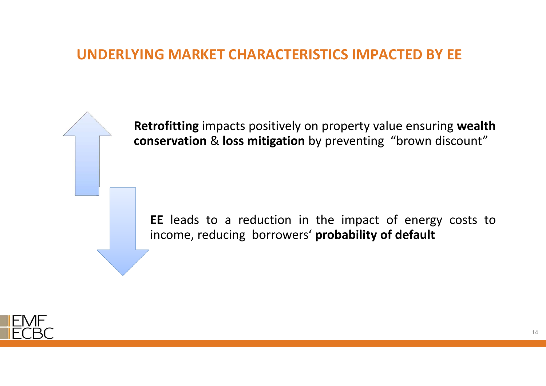## **UNDERLYING MARKET CHARACTERISTICS IMPACTED BY EE**

**Retrofitting** impacts positively on property value ensuring **wealth conservation** & **loss mitigation** by preventing "brown discount"

**EE** leads to <sup>a</sup> reduction in the impact of energy costs toincome, reducing borrowers' **probability of default**

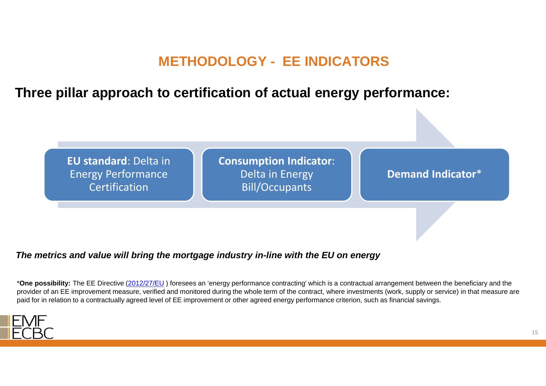## **METHODOLOGY - EE INDICATORS**

**Three pillar approach to certification of actual energy performance:** 

**EU standard**: Delta in Energy Performance Certification

**Consumption Indicator**: Delta in Energy Bill/Occupants

**Demand Indicator**\*

**The metrics and value will bring the mortgage industry in-line with the EU on energy** 

\***One possibility:** The EE Directive (2012/27/EU ) foresees an 'energy performance contracting' which is a contractual arrangement between the beneficiary and the provider of an EE improvement measure, verified and monitored during the whole term of the contract, where investments (work, supply or service) in that measure are paid for in relation to a contractually agreed level of EE improvement or other agreed energy performance criterion, such as financial savings.



15